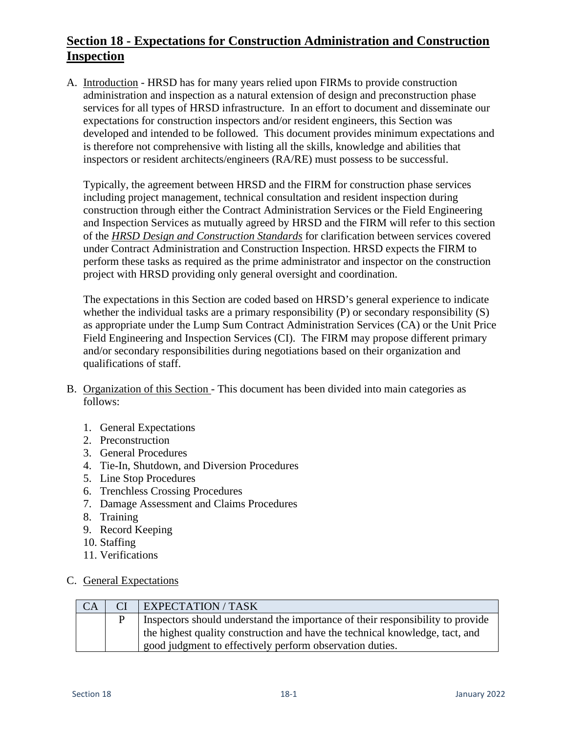# **Section 18 - Expectations for Construction Administration and Construction Inspection**

A. Introduction - HRSD has for many years relied upon FIRMs to provide construction administration and inspection as a natural extension of design and preconstruction phase services for all types of HRSD infrastructure. In an effort to document and disseminate our expectations for construction inspectors and/or resident engineers, this Section was developed and intended to be followed. This document provides minimum expectations and is therefore not comprehensive with listing all the skills, knowledge and abilities that inspectors or resident architects/engineers (RA/RE) must possess to be successful.

Typically, the agreement between HRSD and the FIRM for construction phase services including project management, technical consultation and resident inspection during construction through either the Contract Administration Services or the Field Engineering and Inspection Services as mutually agreed by HRSD and the FIRM will refer to this section of the *HRSD Design and Construction Standards* for clarification between services covered under Contract Administration and Construction Inspection. HRSD expects the FIRM to perform these tasks as required as the prime administrator and inspector on the construction project with HRSD providing only general oversight and coordination.

The expectations in this Section are coded based on HRSD's general experience to indicate whether the individual tasks are a primary responsibility  $(P)$  or secondary responsibility  $(S)$ as appropriate under the Lump Sum Contract Administration Services (CA) or the Unit Price Field Engineering and Inspection Services (CI). The FIRM may propose different primary and/or secondary responsibilities during negotiations based on their organization and qualifications of staff.

- B. Organization of this Section This document has been divided into main categories as follows:
	- 1. General Expectations
	- 2. Preconstruction
	- 3. General Procedures
	- 4. Tie-In, Shutdown, and Diversion Procedures
	- 5. Line Stop Procedures
	- 6. Trenchless Crossing Procedures
	- 7. Damage Assessment and Claims Procedures
	- 8. Training
	- 9. Record Keeping
	- 10. Staffing
	- 11. Verifications
- C. General Expectations

| CA | CI | EXPECTATION / TASK                                                             |
|----|----|--------------------------------------------------------------------------------|
|    |    | Inspectors should understand the importance of their responsibility to provide |
|    |    | the highest quality construction and have the technical knowledge, tact, and   |
|    |    | good judgment to effectively perform observation duties.                       |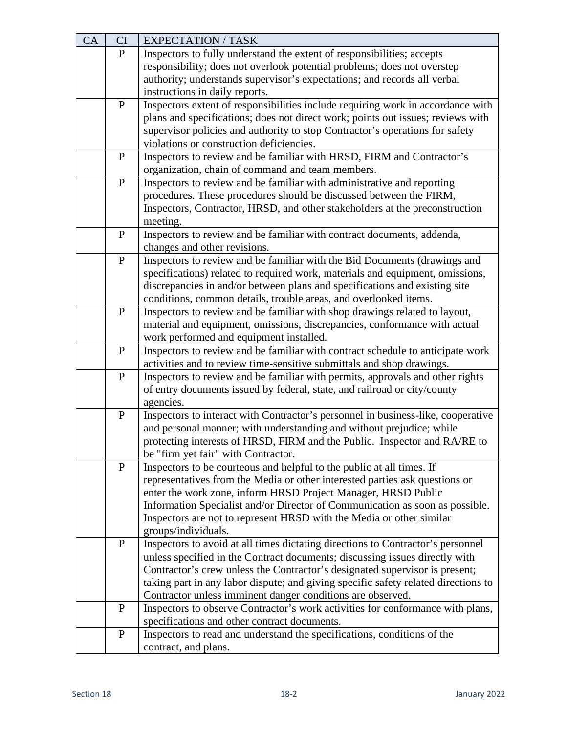| CA | CI           | <b>EXPECTATION / TASK</b>                                                          |
|----|--------------|------------------------------------------------------------------------------------|
|    | ${\bf P}$    | Inspectors to fully understand the extent of responsibilities; accepts             |
|    |              | responsibility; does not overlook potential problems; does not overstep            |
|    |              | authority; understands supervisor's expectations; and records all verbal           |
|    |              | instructions in daily reports.                                                     |
|    | $\, {\bf P}$ | Inspectors extent of responsibilities include requiring work in accordance with    |
|    |              | plans and specifications; does not direct work; points out issues; reviews with    |
|    |              | supervisor policies and authority to stop Contractor's operations for safety       |
|    |              | violations or construction deficiencies.                                           |
|    | $\, {\bf P}$ | Inspectors to review and be familiar with HRSD, FIRM and Contractor's              |
|    |              | organization, chain of command and team members.                                   |
|    | ${\bf P}$    | Inspectors to review and be familiar with administrative and reporting             |
|    |              | procedures. These procedures should be discussed between the FIRM,                 |
|    |              | Inspectors, Contractor, HRSD, and other stakeholders at the preconstruction        |
|    |              | meeting.                                                                           |
|    | $\mathbf{P}$ | Inspectors to review and be familiar with contract documents, addenda,             |
|    |              | changes and other revisions.                                                       |
|    | ${\bf P}$    | Inspectors to review and be familiar with the Bid Documents (drawings and          |
|    |              | specifications) related to required work, materials and equipment, omissions,      |
|    |              | discrepancies in and/or between plans and specifications and existing site         |
|    |              | conditions, common details, trouble areas, and overlooked items.                   |
|    |              |                                                                                    |
|    | $\mathbf{P}$ | Inspectors to review and be familiar with shop drawings related to layout,         |
|    |              | material and equipment, omissions, discrepancies, conformance with actual          |
|    |              | work performed and equipment installed.                                            |
|    | ${\bf P}$    | Inspectors to review and be familiar with contract schedule to anticipate work     |
|    |              | activities and to review time-sensitive submittals and shop drawings.              |
|    | ${\bf P}$    | Inspectors to review and be familiar with permits, approvals and other rights      |
|    |              | of entry documents issued by federal, state, and railroad or city/county           |
|    |              | agencies.                                                                          |
|    | ${\bf P}$    | Inspectors to interact with Contractor's personnel in business-like, cooperative   |
|    |              | and personal manner; with understanding and without prejudice; while               |
|    |              | protecting interests of HRSD, FIRM and the Public. Inspector and RA/RE to          |
|    |              | be "firm yet fair" with Contractor.                                                |
|    | $\mathbf P$  | Inspectors to be courteous and helpful to the public at all times. If              |
|    |              | representatives from the Media or other interested parties ask questions or        |
|    |              | enter the work zone, inform HRSD Project Manager, HRSD Public                      |
|    |              | Information Specialist and/or Director of Communication as soon as possible.       |
|    |              | Inspectors are not to represent HRSD with the Media or other similar               |
|    |              | groups/individuals.                                                                |
|    | ${\bf P}$    | Inspectors to avoid at all times dictating directions to Contractor's personnel    |
|    |              | unless specified in the Contract documents; discussing issues directly with        |
|    |              | Contractor's crew unless the Contractor's designated supervisor is present;        |
|    |              | taking part in any labor dispute; and giving specific safety related directions to |
|    |              | Contractor unless imminent danger conditions are observed.                         |
|    | $\mathbf{P}$ | Inspectors to observe Contractor's work activities for conformance with plans,     |
|    |              | specifications and other contract documents.                                       |
|    | $\mathbf{P}$ | Inspectors to read and understand the specifications, conditions of the            |
|    |              | contract, and plans.                                                               |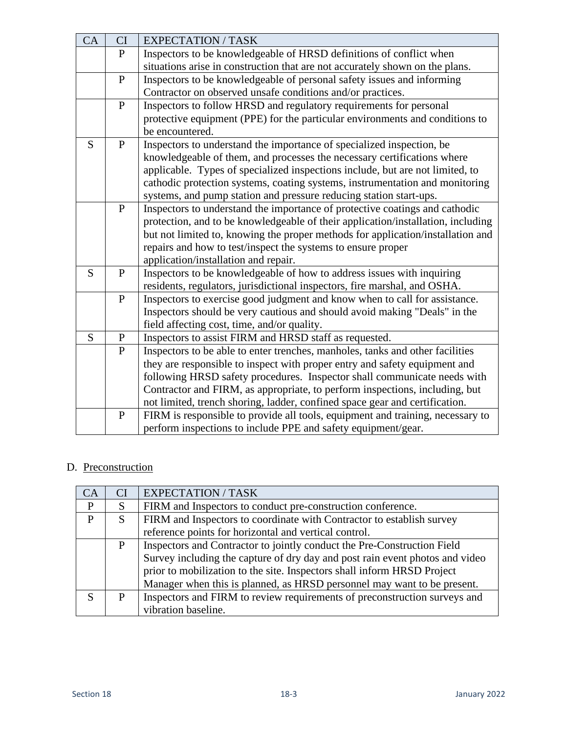| CA | CI             | <b>EXPECTATION / TASK</b>                                                        |
|----|----------------|----------------------------------------------------------------------------------|
|    | $\mathbf{P}$   | Inspectors to be knowledgeable of HRSD definitions of conflict when              |
|    |                | situations arise in construction that are not accurately shown on the plans.     |
|    | ${\bf P}$      | Inspectors to be knowledgeable of personal safety issues and informing           |
|    |                | Contractor on observed unsafe conditions and/or practices.                       |
|    | ${\bf P}$      | Inspectors to follow HRSD and regulatory requirements for personal               |
|    |                | protective equipment (PPE) for the particular environments and conditions to     |
|    |                | be encountered.                                                                  |
| S  | ${\bf P}$      | Inspectors to understand the importance of specialized inspection, be            |
|    |                | knowledgeable of them, and processes the necessary certifications where          |
|    |                | applicable. Types of specialized inspections include, but are not limited, to    |
|    |                | cathodic protection systems, coating systems, instrumentation and monitoring     |
|    |                | systems, and pump station and pressure reducing station start-ups.               |
|    | ${\bf P}$      | Inspectors to understand the importance of protective coatings and cathodic      |
|    |                | protection, and to be knowledgeable of their application/installation, including |
|    |                | but not limited to, knowing the proper methods for application/installation and  |
|    |                | repairs and how to test/inspect the systems to ensure proper                     |
|    |                | application/installation and repair.                                             |
| S  | $\, {\bf P}$   | Inspectors to be knowledgeable of how to address issues with inquiring           |
|    |                | residents, regulators, jurisdictional inspectors, fire marshal, and OSHA.        |
|    | ${\bf P}$      | Inspectors to exercise good judgment and know when to call for assistance.       |
|    |                | Inspectors should be very cautious and should avoid making "Deals" in the        |
|    |                | field affecting cost, time, and/or quality.                                      |
| S  | $\mathbf P$    | Inspectors to assist FIRM and HRSD staff as requested.                           |
|    | $\overline{P}$ | Inspectors to be able to enter trenches, manholes, tanks and other facilities    |
|    |                | they are responsible to inspect with proper entry and safety equipment and       |
|    |                | following HRSD safety procedures. Inspector shall communicate needs with         |
|    |                | Contractor and FIRM, as appropriate, to perform inspections, including, but      |
|    |                | not limited, trench shoring, ladder, confined space gear and certification.      |
|    | ${\bf P}$      | FIRM is responsible to provide all tools, equipment and training, necessary to   |
|    |                | perform inspections to include PPE and safety equipment/gear.                    |

#### D. Preconstruction

| CA           | CI | <b>EXPECTATION / TASK</b>                                                    |
|--------------|----|------------------------------------------------------------------------------|
| P            | S  | FIRM and Inspectors to conduct pre-construction conference.                  |
| $\mathbf{P}$ | S  | FIRM and Inspectors to coordinate with Contractor to establish survey        |
|              |    | reference points for horizontal and vertical control.                        |
|              | P  | Inspectors and Contractor to jointly conduct the Pre-Construction Field      |
|              |    | Survey including the capture of dry day and post rain event photos and video |
|              |    | prior to mobilization to the site. Inspectors shall inform HRSD Project      |
|              |    | Manager when this is planned, as HRSD personnel may want to be present.      |
| S            | P  | Inspectors and FIRM to review requirements of preconstruction surveys and    |
|              |    | vibration baseline.                                                          |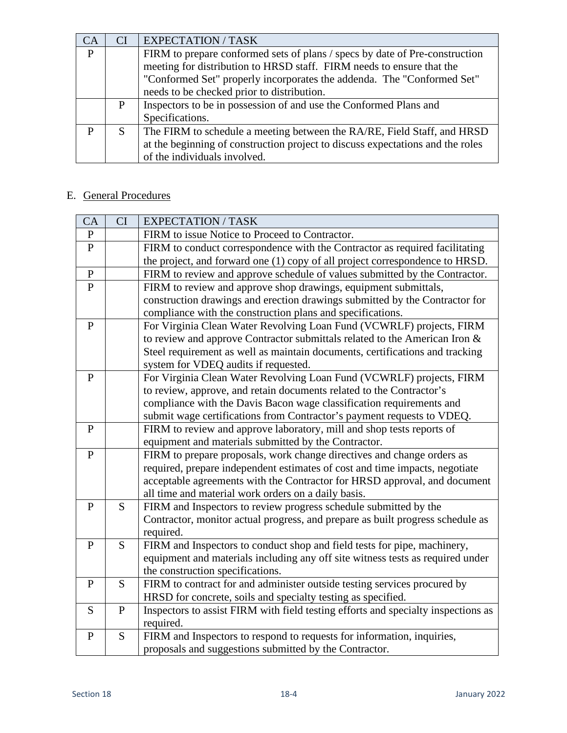| $\bigcap$ $A$ | СI | <b>EXPECTATION / TASK</b>                                                                                                                                                                                                                                                    |
|---------------|----|------------------------------------------------------------------------------------------------------------------------------------------------------------------------------------------------------------------------------------------------------------------------------|
| P             |    | FIRM to prepare conformed sets of plans / specs by date of Pre-construction<br>meeting for distribution to HRSD staff. FIRM needs to ensure that the<br>"Conformed Set" properly incorporates the addenda. The "Conformed Set"<br>needs to be checked prior to distribution. |
|               | P  | Inspectors to be in possession of and use the Conformed Plans and<br>Specifications.                                                                                                                                                                                         |
| P             | S  | The FIRM to schedule a meeting between the RA/RE, Field Staff, and HRSD<br>at the beginning of construction project to discuss expectations and the roles<br>of the individuals involved.                                                                                    |

# E. General Procedures

| CA           | CI           | <b>EXPECTATION / TASK</b>                                                                                                                                  |
|--------------|--------------|------------------------------------------------------------------------------------------------------------------------------------------------------------|
| $\mathbf{P}$ |              | FIRM to issue Notice to Proceed to Contractor.                                                                                                             |
| $\mathbf{P}$ |              | FIRM to conduct correspondence with the Contractor as required facilitating                                                                                |
|              |              | the project, and forward one (1) copy of all project correspondence to HRSD.                                                                               |
| ${\bf P}$    |              | FIRM to review and approve schedule of values submitted by the Contractor.                                                                                 |
| $\mathbf{P}$ |              | FIRM to review and approve shop drawings, equipment submittals,                                                                                            |
|              |              | construction drawings and erection drawings submitted by the Contractor for                                                                                |
|              |              | compliance with the construction plans and specifications.                                                                                                 |
| ${\bf P}$    |              | For Virginia Clean Water Revolving Loan Fund (VCWRLF) projects, FIRM                                                                                       |
|              |              | to review and approve Contractor submittals related to the American Iron &                                                                                 |
|              |              | Steel requirement as well as maintain documents, certifications and tracking                                                                               |
|              |              | system for VDEQ audits if requested.                                                                                                                       |
| $\mathbf{P}$ |              | For Virginia Clean Water Revolving Loan Fund (VCWRLF) projects, FIRM                                                                                       |
|              |              | to review, approve, and retain documents related to the Contractor's                                                                                       |
|              |              | compliance with the Davis Bacon wage classification requirements and                                                                                       |
|              |              | submit wage certifications from Contractor's payment requests to VDEQ.                                                                                     |
| $\mathbf{P}$ |              | FIRM to review and approve laboratory, mill and shop tests reports of                                                                                      |
|              |              | equipment and materials submitted by the Contractor.                                                                                                       |
| $\mathbf{P}$ |              | FIRM to prepare proposals, work change directives and change orders as                                                                                     |
|              |              | required, prepare independent estimates of cost and time impacts, negotiate                                                                                |
|              |              | acceptable agreements with the Contractor for HRSD approval, and document                                                                                  |
|              |              | all time and material work orders on a daily basis.                                                                                                        |
| $\mathbf{P}$ | S            | FIRM and Inspectors to review progress schedule submitted by the                                                                                           |
|              |              | Contractor, monitor actual progress, and prepare as built progress schedule as                                                                             |
| P            | S            | required.                                                                                                                                                  |
|              |              | FIRM and Inspectors to conduct shop and field tests for pipe, machinery,<br>equipment and materials including any off site witness tests as required under |
|              |              | the construction specifications.                                                                                                                           |
| $\mathbf{P}$ | S            | FIRM to contract for and administer outside testing services procured by                                                                                   |
|              |              | HRSD for concrete, soils and specialty testing as specified.                                                                                               |
| S            | $\, {\bf P}$ | Inspectors to assist FIRM with field testing efforts and specialty inspections as                                                                          |
|              |              | required.                                                                                                                                                  |
| $\mathbf{P}$ | S            | FIRM and Inspectors to respond to requests for information, inquiries,                                                                                     |
|              |              | proposals and suggestions submitted by the Contractor.                                                                                                     |
|              |              |                                                                                                                                                            |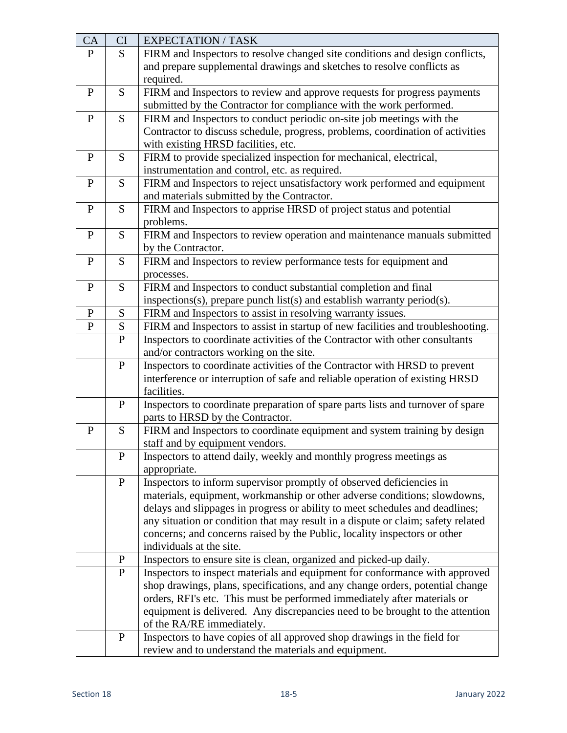| CA           | CI             | <b>EXPECTATION / TASK</b>                                                        |
|--------------|----------------|----------------------------------------------------------------------------------|
| $\mathbf{P}$ | S              | FIRM and Inspectors to resolve changed site conditions and design conflicts,     |
|              |                | and prepare supplemental drawings and sketches to resolve conflicts as           |
|              |                | required.                                                                        |
| $\mathbf{P}$ | S              | FIRM and Inspectors to review and approve requests for progress payments         |
|              |                | submitted by the Contractor for compliance with the work performed.              |
| $\mathbf{P}$ | S              | FIRM and Inspectors to conduct periodic on-site job meetings with the            |
|              |                | Contractor to discuss schedule, progress, problems, coordination of activities   |
|              |                | with existing HRSD facilities, etc.                                              |
| $\mathbf{P}$ | S              | FIRM to provide specialized inspection for mechanical, electrical,               |
|              |                | instrumentation and control, etc. as required.                                   |
| $\mathbf{P}$ | S              | FIRM and Inspectors to reject unsatisfactory work performed and equipment        |
|              |                | and materials submitted by the Contractor.                                       |
| $\mathbf{P}$ | S              | FIRM and Inspectors to apprise HRSD of project status and potential              |
|              |                | problems.                                                                        |
| $\mathbf{P}$ | S              | FIRM and Inspectors to review operation and maintenance manuals submitted        |
|              |                | by the Contractor.                                                               |
| $\mathbf{P}$ | S              | FIRM and Inspectors to review performance tests for equipment and                |
|              |                | processes.                                                                       |
| $\mathbf{P}$ | S              | FIRM and Inspectors to conduct substantial completion and final                  |
|              |                | inspections(s), prepare punch list(s) and establish warranty period(s).          |
| $\mathbf{P}$ | S              | FIRM and Inspectors to assist in resolving warranty issues.                      |
| ${\bf P}$    | S              | FIRM and Inspectors to assist in startup of new facilities and troubleshooting.  |
|              | $\overline{P}$ | Inspectors to coordinate activities of the Contractor with other consultants     |
|              |                | and/or contractors working on the site.                                          |
|              | ${\bf P}$      | Inspectors to coordinate activities of the Contractor with HRSD to prevent       |
|              |                | interference or interruption of safe and reliable operation of existing HRSD     |
|              |                | facilities.                                                                      |
|              | $\mathbf{P}$   | Inspectors to coordinate preparation of spare parts lists and turnover of spare  |
|              |                | parts to HRSD by the Contractor.                                                 |
| $\mathbf{P}$ | S              | FIRM and Inspectors to coordinate equipment and system training by design        |
|              |                | staff and by equipment vendors.                                                  |
|              | $\mathbf P$    | Inspectors to attend daily, weekly and monthly progress meetings as              |
|              |                | appropriate.                                                                     |
|              | ${\bf P}$      | Inspectors to inform supervisor promptly of observed deficiencies in             |
|              |                | materials, equipment, workmanship or other adverse conditions; slowdowns,        |
|              |                | delays and slippages in progress or ability to meet schedules and deadlines;     |
|              |                | any situation or condition that may result in a dispute or claim; safety related |
|              |                | concerns; and concerns raised by the Public, locality inspectors or other        |
|              |                | individuals at the site.                                                         |
|              | ${\bf P}$      | Inspectors to ensure site is clean, organized and picked-up daily.               |
|              | $\mathbf P$    | Inspectors to inspect materials and equipment for conformance with approved      |
|              |                | shop drawings, plans, specifications, and any change orders, potential change    |
|              |                | orders, RFI's etc. This must be performed immediately after materials or         |
|              |                | equipment is delivered. Any discrepancies need to be brought to the attention    |
|              |                | of the RA/RE immediately.                                                        |
|              | $\mathbf{P}$   | Inspectors to have copies of all approved shop drawings in the field for         |
|              |                | review and to understand the materials and equipment.                            |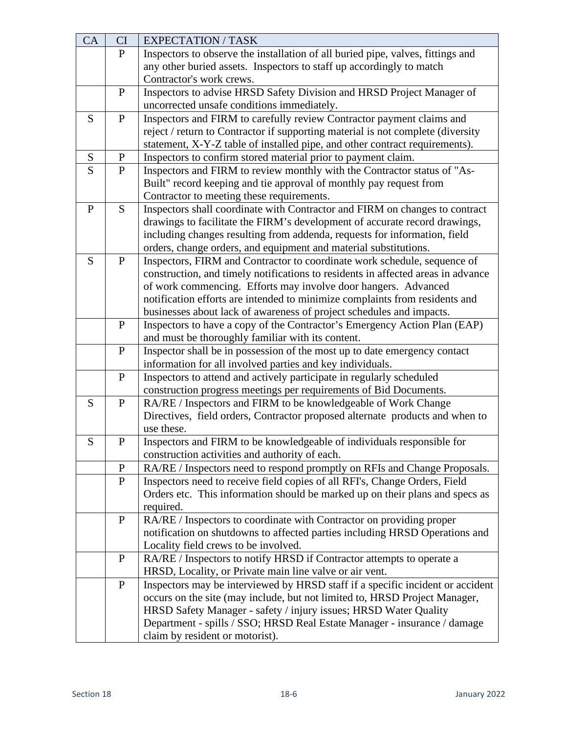| CA | CI           | <b>EXPECTATION / TASK</b>                                                        |
|----|--------------|----------------------------------------------------------------------------------|
|    | $\mathbf{P}$ | Inspectors to observe the installation of all buried pipe, valves, fittings and  |
|    |              | any other buried assets. Inspectors to staff up accordingly to match             |
|    |              | Contractor's work crews.                                                         |
|    | $\, {\bf P}$ | Inspectors to advise HRSD Safety Division and HRSD Project Manager of            |
|    |              | uncorrected unsafe conditions immediately.                                       |
| S  | ${\bf P}$    | Inspectors and FIRM to carefully review Contractor payment claims and            |
|    |              | reject / return to Contractor if supporting material is not complete (diversity  |
|    |              | statement, X-Y-Z table of installed pipe, and other contract requirements).      |
| S  | P            | Inspectors to confirm stored material prior to payment claim.                    |
| S  | ${\bf P}$    | Inspectors and FIRM to review monthly with the Contractor status of "As-         |
|    |              | Built" record keeping and tie approval of monthly pay request from               |
|    |              | Contractor to meeting these requirements.                                        |
| P  | S            | Inspectors shall coordinate with Contractor and FIRM on changes to contract      |
|    |              | drawings to facilitate the FIRM's development of accurate record drawings,       |
|    |              | including changes resulting from addenda, requests for information, field        |
|    |              | orders, change orders, and equipment and material substitutions.                 |
| S  | ${\bf P}$    | Inspectors, FIRM and Contractor to coordinate work schedule, sequence of         |
|    |              | construction, and timely notifications to residents in affected areas in advance |
|    |              | of work commencing. Efforts may involve door hangers. Advanced                   |
|    |              | notification efforts are intended to minimize complaints from residents and      |
|    |              | businesses about lack of awareness of project schedules and impacts.             |
|    | $\mathbf{P}$ | Inspectors to have a copy of the Contractor's Emergency Action Plan (EAP)        |
|    |              | and must be thoroughly familiar with its content.                                |
|    | ${\bf P}$    | Inspector shall be in possession of the most up to date emergency contact        |
|    |              | information for all involved parties and key individuals.                        |
|    | $\, {\bf P}$ | Inspectors to attend and actively participate in regularly scheduled             |
|    |              | construction progress meetings per requirements of Bid Documents.                |
| S  | ${\bf P}$    | RA/RE / Inspectors and FIRM to be knowledgeable of Work Change                   |
|    |              | Directives, field orders, Contractor proposed alternate products and when to     |
|    |              | use these.                                                                       |
| S  | ${\bf P}$    | Inspectors and FIRM to be knowledgeable of individuals responsible for           |
|    |              | construction activities and authority of each.                                   |
|    | $\mathbf P$  | RA/RE / Inspectors need to respond promptly on RFIs and Change Proposals.        |
|    | $\mathbf{P}$ | Inspectors need to receive field copies of all RFI's, Change Orders, Field       |
|    |              | Orders etc. This information should be marked up on their plans and specs as     |
|    |              | required.                                                                        |
|    | ${\bf P}$    | RA/RE / Inspectors to coordinate with Contractor on providing proper             |
|    |              | notification on shutdowns to affected parties including HRSD Operations and      |
|    | $\, {\bf P}$ | Locality field crews to be involved.                                             |
|    |              | RA/RE / Inspectors to notify HRSD if Contractor attempts to operate a            |
|    |              | HRSD, Locality, or Private main line valve or air vent.                          |
|    | $\mathbf{P}$ | Inspectors may be interviewed by HRSD staff if a specific incident or accident   |
|    |              | occurs on the site (may include, but not limited to, HRSD Project Manager,       |
|    |              | HRSD Safety Manager - safety / injury issues; HRSD Water Quality                 |
|    |              | Department - spills / SSO; HRSD Real Estate Manager - insurance / damage         |
|    |              | claim by resident or motorist).                                                  |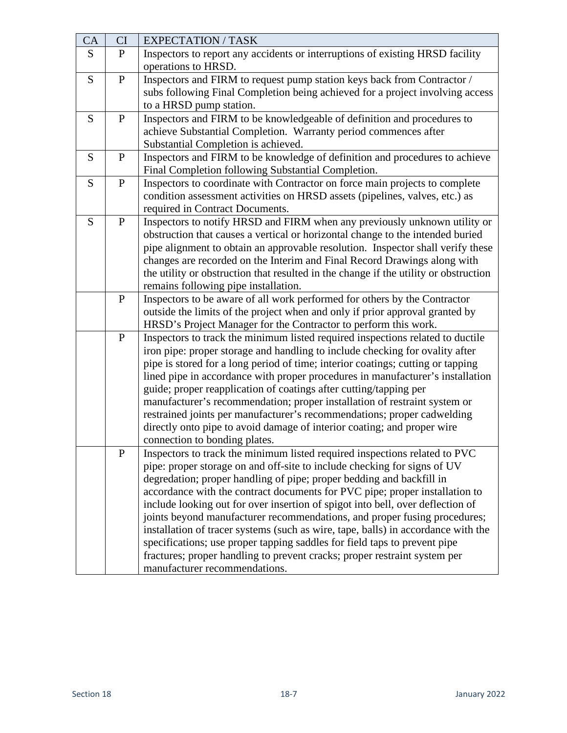| CA | CI           | <b>EXPECTATION / TASK</b>                                                            |
|----|--------------|--------------------------------------------------------------------------------------|
| S  | $\mathbf{P}$ | Inspectors to report any accidents or interruptions of existing HRSD facility        |
|    |              | operations to HRSD.                                                                  |
| S  | ${\bf P}$    | Inspectors and FIRM to request pump station keys back from Contractor /              |
|    |              | subs following Final Completion being achieved for a project involving access        |
|    |              | to a HRSD pump station.                                                              |
| S  | ${\bf P}$    | Inspectors and FIRM to be knowledgeable of definition and procedures to              |
|    |              | achieve Substantial Completion. Warranty period commences after                      |
|    |              | Substantial Completion is achieved.                                                  |
| S  | $\mathbf{P}$ | Inspectors and FIRM to be knowledge of definition and procedures to achieve          |
|    |              | Final Completion following Substantial Completion.                                   |
| S  | ${\bf P}$    | Inspectors to coordinate with Contractor on force main projects to complete          |
|    |              | condition assessment activities on HRSD assets (pipelines, valves, etc.) as          |
|    |              | required in Contract Documents.                                                      |
| S  | ${\bf P}$    | Inspectors to notify HRSD and FIRM when any previously unknown utility or            |
|    |              | obstruction that causes a vertical or horizontal change to the intended buried       |
|    |              | pipe alignment to obtain an approvable resolution. Inspector shall verify these      |
|    |              | changes are recorded on the Interim and Final Record Drawings along with             |
|    |              | the utility or obstruction that resulted in the change if the utility or obstruction |
|    |              | remains following pipe installation.                                                 |
|    | ${\bf P}$    | Inspectors to be aware of all work performed for others by the Contractor            |
|    |              | outside the limits of the project when and only if prior approval granted by         |
|    |              | HRSD's Project Manager for the Contractor to perform this work.                      |
|    | ${\bf P}$    | Inspectors to track the minimum listed required inspections related to ductile       |
|    |              | iron pipe: proper storage and handling to include checking for ovality after         |
|    |              | pipe is stored for a long period of time; interior coatings; cutting or tapping      |
|    |              | lined pipe in accordance with proper procedures in manufacturer's installation       |
|    |              | guide; proper reapplication of coatings after cutting/tapping per                    |
|    |              | manufacturer's recommendation; proper installation of restraint system or            |
|    |              | restrained joints per manufacturer's recommendations; proper cadwelding              |
|    |              | directly onto pipe to avoid damage of interior coating; and proper wire              |
|    |              | connection to bonding plates.                                                        |
|    | $\mathbf P$  | Inspectors to track the minimum listed required inspections related to PVC           |
|    |              | pipe: proper storage on and off-site to include checking for signs of UV             |
|    |              | degredation; proper handling of pipe; proper bedding and backfill in                 |
|    |              | accordance with the contract documents for PVC pipe; proper installation to          |
|    |              | include looking out for over insertion of spigot into bell, over deflection of       |
|    |              | joints beyond manufacturer recommendations, and proper fusing procedures;            |
|    |              | installation of tracer systems (such as wire, tape, balls) in accordance with the    |
|    |              | specifications; use proper tapping saddles for field taps to prevent pipe            |
|    |              | fractures; proper handling to prevent cracks; proper restraint system per            |
|    |              | manufacturer recommendations.                                                        |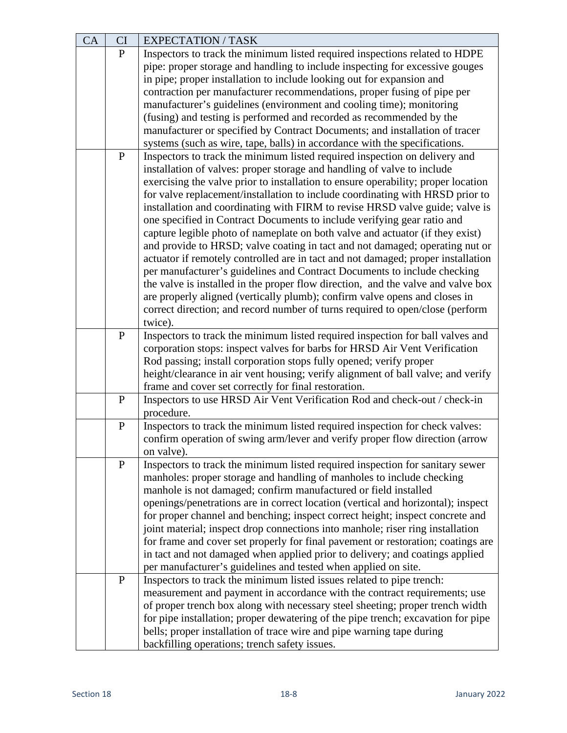| CA | CI           | <b>EXPECTATION / TASK</b>                                                                                                                              |
|----|--------------|--------------------------------------------------------------------------------------------------------------------------------------------------------|
|    | $\mathbf{P}$ | Inspectors to track the minimum listed required inspections related to HDPE                                                                            |
|    |              | pipe: proper storage and handling to include inspecting for excessive gouges                                                                           |
|    |              | in pipe; proper installation to include looking out for expansion and                                                                                  |
|    |              | contraction per manufacturer recommendations, proper fusing of pipe per                                                                                |
|    |              | manufacturer's guidelines (environment and cooling time); monitoring                                                                                   |
|    |              | (fusing) and testing is performed and recorded as recommended by the                                                                                   |
|    |              | manufacturer or specified by Contract Documents; and installation of tracer                                                                            |
|    |              | systems (such as wire, tape, balls) in accordance with the specifications.                                                                             |
|    | ${\bf P}$    | Inspectors to track the minimum listed required inspection on delivery and                                                                             |
|    |              | installation of valves: proper storage and handling of valve to include                                                                                |
|    |              | exercising the valve prior to installation to ensure operability; proper location                                                                      |
|    |              | for valve replacement/installation to include coordinating with HRSD prior to                                                                          |
|    |              | installation and coordinating with FIRM to revise HRSD valve guide; valve is                                                                           |
|    |              | one specified in Contract Documents to include verifying gear ratio and                                                                                |
|    |              | capture legible photo of nameplate on both valve and actuator (if they exist)                                                                          |
|    |              | and provide to HRSD; valve coating in tact and not damaged; operating nut or                                                                           |
|    |              | actuator if remotely controlled are in tact and not damaged; proper installation                                                                       |
|    |              | per manufacturer's guidelines and Contract Documents to include checking                                                                               |
|    |              | the valve is installed in the proper flow direction, and the valve and valve box                                                                       |
|    |              | are properly aligned (vertically plumb); confirm valve opens and closes in                                                                             |
|    |              | correct direction; and record number of turns required to open/close (perform                                                                          |
|    |              | twice).                                                                                                                                                |
|    | $\mathbf{P}$ | Inspectors to track the minimum listed required inspection for ball valves and                                                                         |
|    |              | corporation stops: inspect valves for barbs for HRSD Air Vent Verification                                                                             |
|    |              | Rod passing; install corporation stops fully opened; verify proper<br>height/clearance in air vent housing; verify alignment of ball valve; and verify |
|    |              | frame and cover set correctly for final restoration.                                                                                                   |
|    | $\mathbf{P}$ | Inspectors to use HRSD Air Vent Verification Rod and check-out / check-in                                                                              |
|    |              | procedure.                                                                                                                                             |
|    | $\, {\bf P}$ | Inspectors to track the minimum listed required inspection for check valves:                                                                           |
|    |              | confirm operation of swing arm/lever and verify proper flow direction (arrow                                                                           |
|    |              | on valve).                                                                                                                                             |
|    | $\mathbf{P}$ | Inspectors to track the minimum listed required inspection for sanitary sewer                                                                          |
|    |              | manholes: proper storage and handling of manholes to include checking                                                                                  |
|    |              | manhole is not damaged; confirm manufactured or field installed                                                                                        |
|    |              | openings/penetrations are in correct location (vertical and horizontal); inspect                                                                       |
|    |              | for proper channel and benching; inspect correct height; inspect concrete and                                                                          |
|    |              | joint material; inspect drop connections into manhole; riser ring installation                                                                         |
|    |              | for frame and cover set properly for final pavement or restoration; coatings are                                                                       |
|    |              | in tact and not damaged when applied prior to delivery; and coatings applied                                                                           |
|    |              | per manufacturer's guidelines and tested when applied on site.                                                                                         |
|    | $\mathbf{P}$ | Inspectors to track the minimum listed issues related to pipe trench:                                                                                  |
|    |              | measurement and payment in accordance with the contract requirements; use                                                                              |
|    |              | of proper trench box along with necessary steel sheeting; proper trench width                                                                          |
|    |              | for pipe installation; proper dewatering of the pipe trench; excavation for pipe                                                                       |
|    |              | bells; proper installation of trace wire and pipe warning tape during                                                                                  |
|    |              | backfilling operations; trench safety issues.                                                                                                          |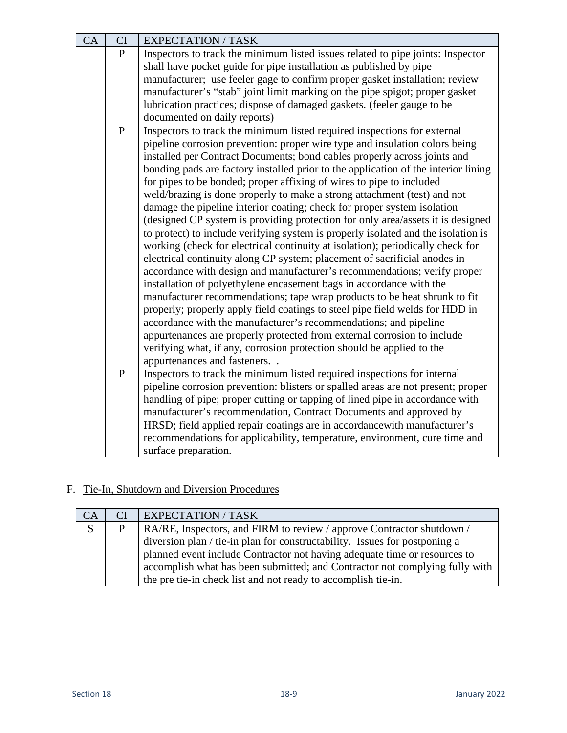| CA | CI           | <b>EXPECTATION / TASK</b>                                                          |
|----|--------------|------------------------------------------------------------------------------------|
|    | $\mathbf{P}$ | Inspectors to track the minimum listed issues related to pipe joints: Inspector    |
|    |              | shall have pocket guide for pipe installation as published by pipe                 |
|    |              | manufacturer; use feeler gage to confirm proper gasket installation; review        |
|    |              | manufacturer's "stab" joint limit marking on the pipe spigot; proper gasket        |
|    |              | lubrication practices; dispose of damaged gaskets. (feeler gauge to be             |
|    |              | documented on daily reports)                                                       |
|    | ${\bf P}$    | Inspectors to track the minimum listed required inspections for external           |
|    |              | pipeline corrosion prevention: proper wire type and insulation colors being        |
|    |              | installed per Contract Documents; bond cables properly across joints and           |
|    |              | bonding pads are factory installed prior to the application of the interior lining |
|    |              | for pipes to be bonded; proper affixing of wires to pipe to included               |
|    |              | weld/brazing is done properly to make a strong attachment (test) and not           |
|    |              | damage the pipeline interior coating; check for proper system isolation            |
|    |              | (designed CP system is providing protection for only area/assets it is designed    |
|    |              | to protect) to include verifying system is properly isolated and the isolation is  |
|    |              | working (check for electrical continuity at isolation); periodically check for     |
|    |              | electrical continuity along CP system; placement of sacrificial anodes in          |
|    |              | accordance with design and manufacturer's recommendations; verify proper           |
|    |              | installation of polyethylene encasement bags in accordance with the                |
|    |              | manufacturer recommendations; tape wrap products to be heat shrunk to fit          |
|    |              | properly; properly apply field coatings to steel pipe field welds for HDD in       |
|    |              | accordance with the manufacturer's recommendations; and pipeline                   |
|    |              | appurtenances are properly protected from external corrosion to include            |
|    |              | verifying what, if any, corrosion protection should be applied to the              |
|    |              | appurtenances and fasteners                                                        |
|    | $\mathbf{P}$ | Inspectors to track the minimum listed required inspections for internal           |
|    |              | pipeline corrosion prevention: blisters or spalled areas are not present; proper   |
|    |              | handling of pipe; proper cutting or tapping of lined pipe in accordance with       |
|    |              | manufacturer's recommendation, Contract Documents and approved by                  |
|    |              | HRSD; field applied repair coatings are in accordance with manufacturer's          |
|    |              | recommendations for applicability, temperature, environment, cure time and         |
|    |              | surface preparation.                                                               |

# F. Tie-In, Shutdown and Diversion Procedures

| CA             | CI | <b>EXPECTATION / TASK</b>                                                   |
|----------------|----|-----------------------------------------------------------------------------|
| $\overline{S}$ | P  | RA/RE, Inspectors, and FIRM to review / approve Contractor shutdown /       |
|                |    | diversion plan / tie-in plan for constructability. Issues for postponing a  |
|                |    | planned event include Contractor not having adequate time or resources to   |
|                |    | accomplish what has been submitted; and Contractor not complying fully with |
|                |    | the pre tie-in check list and not ready to accomplish tie-in.               |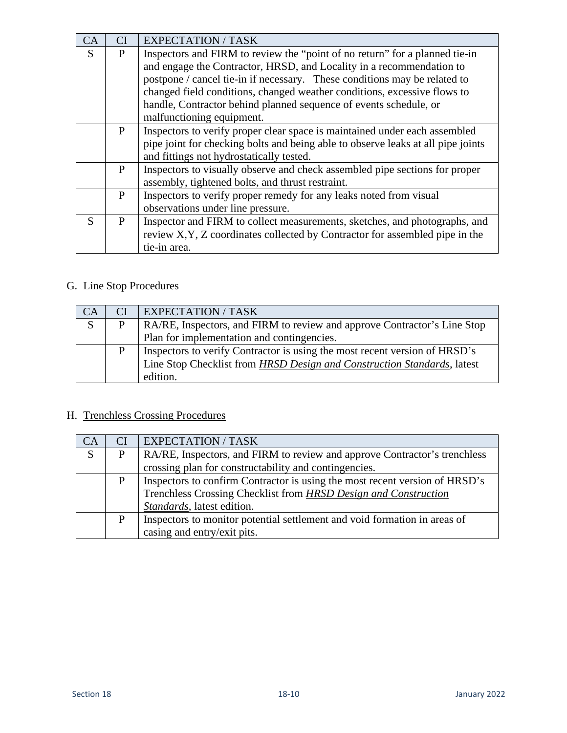| CA | CI           | <b>EXPECTATION / TASK</b>                                                        |
|----|--------------|----------------------------------------------------------------------------------|
| S  | P            | Inspectors and FIRM to review the "point of no return" for a planned tie-in      |
|    |              | and engage the Contractor, HRSD, and Locality in a recommendation to             |
|    |              | postpone / cancel tie-in if necessary. These conditions may be related to        |
|    |              | changed field conditions, changed weather conditions, excessive flows to         |
|    |              | handle, Contractor behind planned sequence of events schedule, or                |
|    |              | malfunctioning equipment.                                                        |
|    | $\mathbf{P}$ | Inspectors to verify proper clear space is maintained under each assembled       |
|    |              | pipe joint for checking bolts and being able to observe leaks at all pipe joints |
|    |              | and fittings not hydrostatically tested.                                         |
|    | P            | Inspectors to visually observe and check assembled pipe sections for proper      |
|    |              | assembly, tightened bolts, and thrust restraint.                                 |
|    | $\mathbf{P}$ | Inspectors to verify proper remedy for any leaks noted from visual               |
|    |              | observations under line pressure.                                                |
| S  | P            | Inspector and FIRM to collect measurements, sketches, and photographs, and       |
|    |              | review X, Y, Z coordinates collected by Contractor for assembled pipe in the     |
|    |              | tie-in area.                                                                     |

### G. Line Stop Procedures

| CA | CI | <b>EXPECTATION / TASK</b>                                                  |
|----|----|----------------------------------------------------------------------------|
| S  | P  | RA/RE, Inspectors, and FIRM to review and approve Contractor's Line Stop   |
|    |    | Plan for implementation and contingencies.                                 |
|    | P  | Inspectors to verify Contractor is using the most recent version of HRSD's |
|    |    | Line Stop Checklist from HRSD Design and Construction Standards, latest    |
|    |    | edition.                                                                   |

# H. Trenchless Crossing Procedures

| CA | CI | <b>EXPECTATION / TASK</b>                                                   |
|----|----|-----------------------------------------------------------------------------|
| S  | P  | RA/RE, Inspectors, and FIRM to review and approve Contractor's trenchless   |
|    |    | crossing plan for constructability and contingencies.                       |
|    | P  | Inspectors to confirm Contractor is using the most recent version of HRSD's |
|    |    | Trenchless Crossing Checklist from HRSD Design and Construction             |
|    |    | Standards, latest edition.                                                  |
|    | D  | Inspectors to monitor potential settlement and void formation in areas of   |
|    |    | casing and entry/exit pits.                                                 |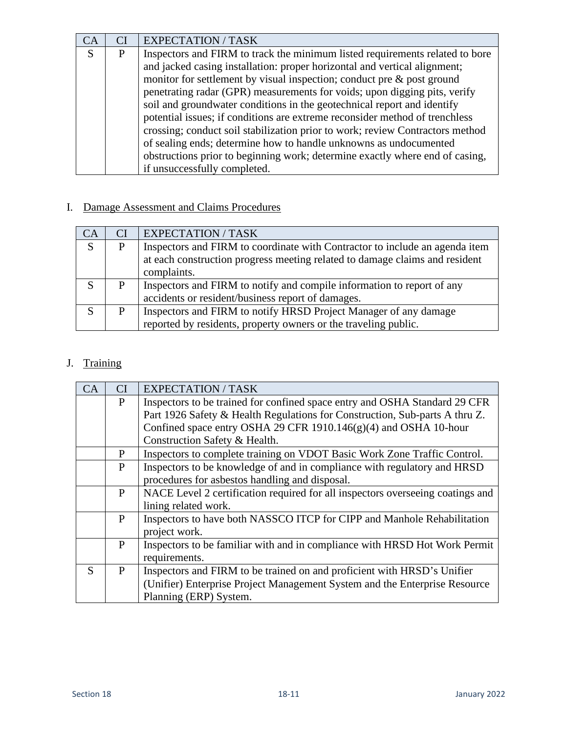| CA |   | <b>EXPECTATION / TASK</b>                                                     |
|----|---|-------------------------------------------------------------------------------|
| S  | P | Inspectors and FIRM to track the minimum listed requirements related to bore  |
|    |   | and jacked casing installation: proper horizontal and vertical alignment;     |
|    |   | monitor for settlement by visual inspection; conduct pre $\&$ post ground     |
|    |   | penetrating radar (GPR) measurements for voids; upon digging pits, verify     |
|    |   | soil and groundwater conditions in the geotechnical report and identify       |
|    |   | potential issues; if conditions are extreme reconsider method of trenchless   |
|    |   | crossing; conduct soil stabilization prior to work; review Contractors method |
|    |   | of sealing ends; determine how to handle unknowns as undocumented             |
|    |   | obstructions prior to beginning work; determine exactly where end of casing,  |
|    |   | if unsuccessfully completed.                                                  |

### I. Damage Assessment and Claims Procedures

| CA | СI | <b>EXPECTATION / TASK</b>                                                                                                                                  |
|----|----|------------------------------------------------------------------------------------------------------------------------------------------------------------|
| S  | P  | Inspectors and FIRM to coordinate with Contractor to include an agenda item<br>at each construction progress meeting related to damage claims and resident |
|    |    | complaints.                                                                                                                                                |
| S  | P  | Inspectors and FIRM to notify and compile information to report of any                                                                                     |
|    |    | accidents or resident/business report of damages.                                                                                                          |
| S  | P  | Inspectors and FIRM to notify HRSD Project Manager of any damage                                                                                           |
|    |    | reported by residents, property owners or the traveling public.                                                                                            |

# J. Training

| CA | <b>CI</b>    | <b>EXPECTATION / TASK</b>                                                      |
|----|--------------|--------------------------------------------------------------------------------|
|    | P            | Inspectors to be trained for confined space entry and OSHA Standard 29 CFR     |
|    |              | Part 1926 Safety & Health Regulations for Construction, Sub-parts A thru Z.    |
|    |              | Confined space entry OSHA 29 CFR 1910.146 $(g)(4)$ and OSHA 10-hour            |
|    |              | Construction Safety & Health.                                                  |
|    | P            | Inspectors to complete training on VDOT Basic Work Zone Traffic Control.       |
|    | $\mathbf{P}$ | Inspectors to be knowledge of and in compliance with regulatory and HRSD       |
|    |              | procedures for asbestos handling and disposal.                                 |
|    | P            | NACE Level 2 certification required for all inspectors overseeing coatings and |
|    |              | lining related work.                                                           |
|    | P            | Inspectors to have both NASSCO ITCP for CIPP and Manhole Rehabilitation        |
|    |              | project work.                                                                  |
|    | P            | Inspectors to be familiar with and in compliance with HRSD Hot Work Permit     |
|    |              | requirements.                                                                  |
| S  | $\mathbf{P}$ | Inspectors and FIRM to be trained on and proficient with HRSD's Unifier        |
|    |              | (Unifier) Enterprise Project Management System and the Enterprise Resource     |
|    |              | Planning (ERP) System.                                                         |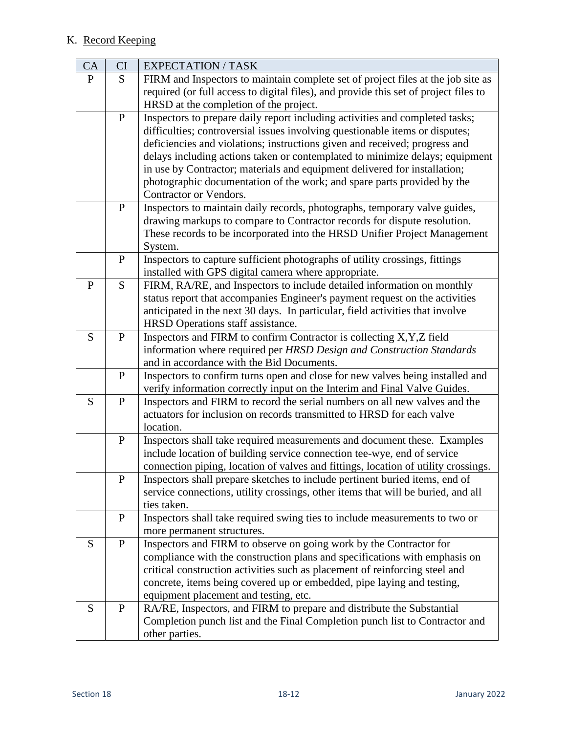#### K. Record Keeping

| CA           | CI           | <b>EXPECTATION / TASK</b>                                                                                                                               |
|--------------|--------------|---------------------------------------------------------------------------------------------------------------------------------------------------------|
| $\mathbf{P}$ | S            | FIRM and Inspectors to maintain complete set of project files at the job site as                                                                        |
|              |              | required (or full access to digital files), and provide this set of project files to                                                                    |
|              |              | HRSD at the completion of the project.                                                                                                                  |
|              | ${\bf P}$    | Inspectors to prepare daily report including activities and completed tasks;                                                                            |
|              |              | difficulties; controversial issues involving questionable items or disputes;                                                                            |
|              |              | deficiencies and violations; instructions given and received; progress and                                                                              |
|              |              | delays including actions taken or contemplated to minimize delays; equipment                                                                            |
|              |              | in use by Contractor; materials and equipment delivered for installation;                                                                               |
|              |              | photographic documentation of the work; and spare parts provided by the<br>Contractor or Vendors.                                                       |
|              | ${\bf P}$    | Inspectors to maintain daily records, photographs, temporary valve guides,                                                                              |
|              |              | drawing markups to compare to Contractor records for dispute resolution.                                                                                |
|              |              | These records to be incorporated into the HRSD Unifier Project Management                                                                               |
|              |              | System.                                                                                                                                                 |
|              | $\mathbf P$  | Inspectors to capture sufficient photographs of utility crossings, fittings                                                                             |
|              |              | installed with GPS digital camera where appropriate.                                                                                                    |
| P            | S            | FIRM, RA/RE, and Inspectors to include detailed information on monthly                                                                                  |
|              |              | status report that accompanies Engineer's payment request on the activities                                                                             |
|              |              | anticipated in the next 30 days. In particular, field activities that involve                                                                           |
|              |              | HRSD Operations staff assistance.                                                                                                                       |
| S            | $\mathbf P$  | Inspectors and FIRM to confirm Contractor is collecting X, Y, Z field                                                                                   |
|              |              | information where required per HRSD Design and Construction Standards                                                                                   |
|              |              | and in accordance with the Bid Documents.                                                                                                               |
|              | $\mathbf P$  | Inspectors to confirm turns open and close for new valves being installed and                                                                           |
| S            | ${\bf P}$    | verify information correctly input on the Interim and Final Valve Guides.<br>Inspectors and FIRM to record the serial numbers on all new valves and the |
|              |              | actuators for inclusion on records transmitted to HRSD for each valve                                                                                   |
|              |              | location.                                                                                                                                               |
|              | ${\bf P}$    | Inspectors shall take required measurements and document these. Examples                                                                                |
|              |              | include location of building service connection tee-wye, end of service                                                                                 |
|              |              | connection piping, location of valves and fittings, location of utility crossings.                                                                      |
|              | ${\bf P}$    | Inspectors shall prepare sketches to include pertinent buried items, end of                                                                             |
|              |              | service connections, utility crossings, other items that will be buried, and all                                                                        |
|              |              | ties taken.                                                                                                                                             |
|              | $\mathbf{P}$ | Inspectors shall take required swing ties to include measurements to two or                                                                             |
|              |              | more permanent structures.                                                                                                                              |
| S            | ${\bf P}$    | Inspectors and FIRM to observe on going work by the Contractor for                                                                                      |
|              |              | compliance with the construction plans and specifications with emphasis on                                                                              |
|              |              | critical construction activities such as placement of reinforcing steel and                                                                             |
|              |              | concrete, items being covered up or embedded, pipe laying and testing,                                                                                  |
|              |              | equipment placement and testing, etc.                                                                                                                   |
| S            | $\mathbf{P}$ | RA/RE, Inspectors, and FIRM to prepare and distribute the Substantial                                                                                   |
|              |              | Completion punch list and the Final Completion punch list to Contractor and<br>other parties.                                                           |
|              |              |                                                                                                                                                         |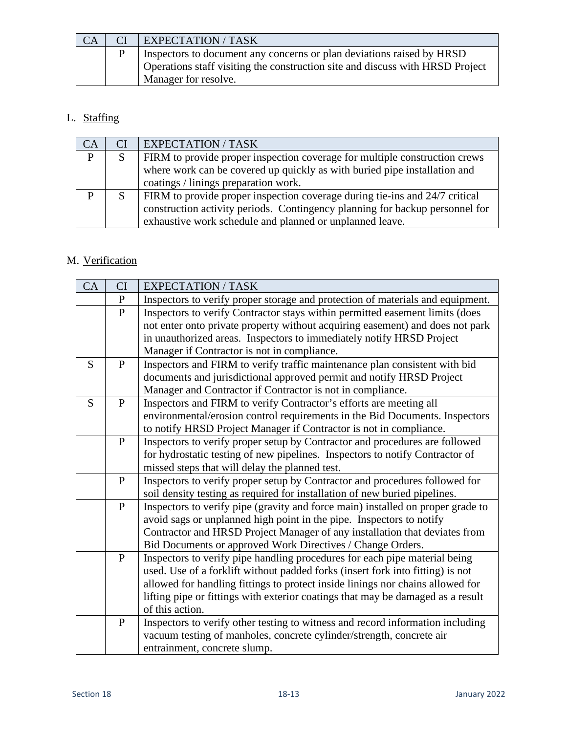| <b>CA</b> | <b>EXPECTATION / TASK</b>                                                     |
|-----------|-------------------------------------------------------------------------------|
|           | Inspectors to document any concerns or plan deviations raised by HRSD         |
|           | Operations staff visiting the construction site and discuss with HRSD Project |
|           | Manager for resolve.                                                          |

### L. Staffing

| <b>CA</b>      | CI | EXPECTATION / TASK                                                           |
|----------------|----|------------------------------------------------------------------------------|
| $\overline{P}$ | S  | FIRM to provide proper inspection coverage for multiple construction crews   |
|                |    | where work can be covered up quickly as with buried pipe installation and    |
|                |    | coatings / linings preparation work.                                         |
| D              | S  | FIRM to provide proper inspection coverage during tie-ins and 24/7 critical  |
|                |    | construction activity periods. Contingency planning for backup personnel for |
|                |    | exhaustive work schedule and planned or unplanned leave.                     |

### M. Verification

| CA | CI           | <b>EXPECTATION / TASK</b>                                                                                                                                                                                                                                                                                                                            |
|----|--------------|------------------------------------------------------------------------------------------------------------------------------------------------------------------------------------------------------------------------------------------------------------------------------------------------------------------------------------------------------|
|    | $\mathbf P$  | Inspectors to verify proper storage and protection of materials and equipment.                                                                                                                                                                                                                                                                       |
|    | ${\bf P}$    | Inspectors to verify Contractor stays within permitted easement limits (does<br>not enter onto private property without acquiring easement) and does not park<br>in unauthorized areas. Inspectors to immediately notify HRSD Project<br>Manager if Contractor is not in compliance.                                                                 |
| S  | $\mathbf{P}$ | Inspectors and FIRM to verify traffic maintenance plan consistent with bid<br>documents and jurisdictional approved permit and notify HRSD Project<br>Manager and Contractor if Contractor is not in compliance.                                                                                                                                     |
| S  | $\mathbf{P}$ | Inspectors and FIRM to verify Contractor's efforts are meeting all<br>environmental/erosion control requirements in the Bid Documents. Inspectors<br>to notify HRSD Project Manager if Contractor is not in compliance.                                                                                                                              |
|    | $\mathbf{P}$ | Inspectors to verify proper setup by Contractor and procedures are followed<br>for hydrostatic testing of new pipelines. Inspectors to notify Contractor of<br>missed steps that will delay the planned test.                                                                                                                                        |
|    | $\mathbf{P}$ | Inspectors to verify proper setup by Contractor and procedures followed for<br>soil density testing as required for installation of new buried pipelines.                                                                                                                                                                                            |
|    | $\mathbf{P}$ | Inspectors to verify pipe (gravity and force main) installed on proper grade to<br>avoid sags or unplanned high point in the pipe. Inspectors to notify<br>Contractor and HRSD Project Manager of any installation that deviates from<br>Bid Documents or approved Work Directives / Change Orders.                                                  |
|    | $\mathbf{P}$ | Inspectors to verify pipe handling procedures for each pipe material being<br>used. Use of a forklift without padded forks (insert fork into fitting) is not<br>allowed for handling fittings to protect inside linings nor chains allowed for<br>lifting pipe or fittings with exterior coatings that may be damaged as a result<br>of this action. |
|    | ${\bf P}$    | Inspectors to verify other testing to witness and record information including<br>vacuum testing of manholes, concrete cylinder/strength, concrete air<br>entrainment, concrete slump.                                                                                                                                                               |